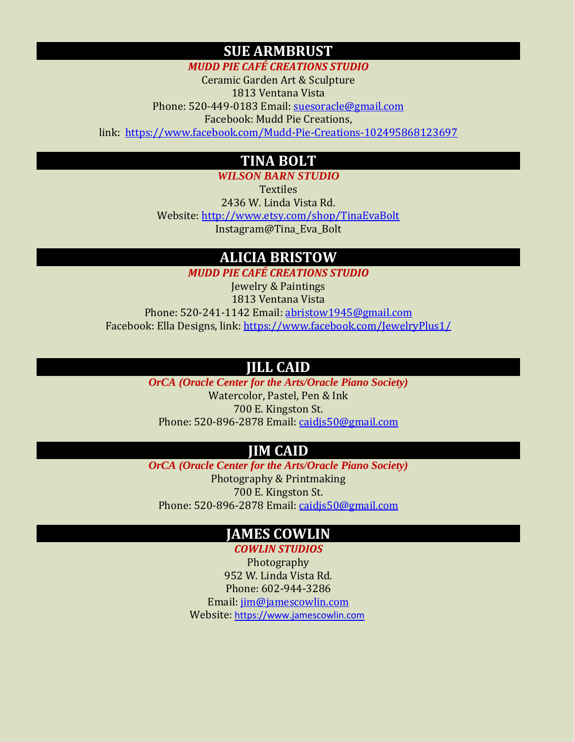## **SUE ARMBRUST**

*MUDD PIE CAFÉ CREATIONS STUDIO*

Ceramic Garden Art & Sculpture 1813 Ventana Vista Phone: 520-449-0183 Email: [suesoracle@gmail.com](mailto:suesoracle@gmail.com) Facebook: Mudd Pie Creations, link: <https://www.facebook.com/Mudd-Pie-Creations-102495868123697>

## **TINA BOLT**

*WILSON BARN STUDIO*

Textiles 2436 W. Linda Vista Rd. Website:<http://www.etsy.com/shop/TinaEvaBolt> Instagram@Tina\_Eva\_Bolt

## **ALICIA BRISTOW**

*MUDD PIE CAFÉ CREATIONS STUDIO* Jewelry & Paintings 1813 Ventana Vista Phone: 520-241-1142 Email[: abristow1945@gmail.com](mailto:abristow1945@gmail.com) Facebook: Ella Designs, link:<https://www.facebook.com/JewelryPlus1/>

## **JILL CAID**

*OrCA (Oracle Center for the Arts/Oracle Piano Society)* Watercolor, Pastel, Pen & Ink 700 E. Kingston St. Phone: 520-896-2878 Email: [caidjs50@gmail.com](mailto:caidjs50@gmail.com)

## **JIM CAID**

*OrCA (Oracle Center for the Arts/Oracle Piano Society)*

Photography & Printmaking 700 E. Kingston St. Phone: 520-896-2878 Email: [caidjs50@gmail.com](mailto:caidjs50@gmail.com)

# **JAMES COWLIN**

*COWLIN STUDIOS* Photography 952 W. Linda Vista Rd. Phone: 602-944-3286 Email: jim@jamescowlin.com Website: [https://www.jamescowlin.com](https://www.jamescowlin.com/)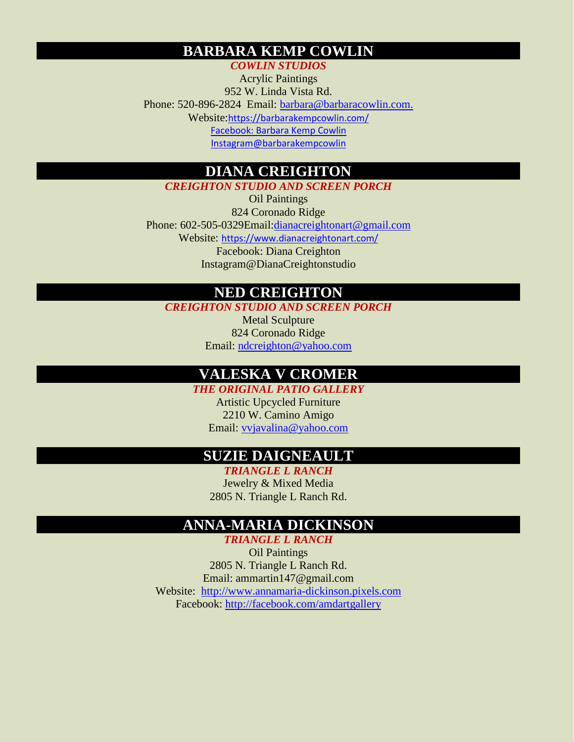#### **BARBARA KEMP COWLIN**

*COWLIN STUDIOS* Acrylic Paintings 952 W. Linda Vista Rd. Phone: 520-896-2824 Email: [barbara@barbaracowlin.com.](mailto:barbara@barbaracowlin.com.) Website:<https://barbarakempcowlin.com/> Facebook: Barbara Kemp Cowlin Instagram@barbarakempcowlin

## **DIANA CREIGHTON**

*CREIGHTON STUDIO AND SCREEN PORCH*

Oil Paintings 824 Coronado Ridge Phone: 602-505-0329Email[:dianacreightonart@gmail.com](mailto:dianacreightonart@gmail.com) Website: <https://www.dianacreightonart.com/> Facebook: Diana Creighton Instagram@DianaCreightonstudio

#### **NED CREIGHTON**

*CREIGHTON STUDIO AND SCREEN PORCH*

Metal Sculpture 824 Coronado Ridge Email: [ndcreighton@yahoo.com](mailto:ndcreighton@yahoo.com)

#### **VALESKA V CROMER**

*THE ORIGINAL PATIO GALLERY*

Artistic Upcycled Furniture 2210 W. Camino Amigo Email: [vvjavalina@yahoo.com](mailto:vvjavalina@yahoo.com)

## **SUZIE DAIGNEAULT**

*TRIANGLE L RANCH*  Jewelry & Mixed Media 2805 N. Triangle L Ranch Rd.

### **ANNA-MARIA DICKINSON**

*TRIANGLE L RANCH* Oil Paintings 2805 N. Triangle L Ranch Rd. Email: ammartin147@gmail.com Website: [http://www.annamaria-dickinson.pixels.com](http://www.annamaria-dickinson.pixels.com/) Facebook:<http://facebook.com/amdartgallery>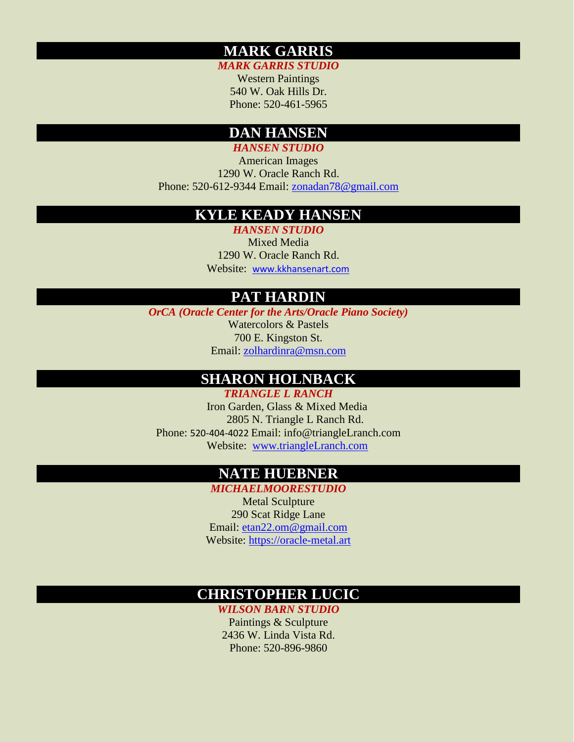#### **MARK GARRIS**

*MARK GARRIS STUDIO* Western Paintings 540 W. Oak Hills Dr. Phone: 520-461-5965

## **DAN HANSEN**

*HANSEN STUDIO*

American Images 1290 W. Oracle Ranch Rd. Phone: 520-612-9344 Email: [zonadan78@gmail.com](mailto:zonadan78@gmail.com)

# **KYLE KEADY HANSEN**

*HANSEN STUDIO* Mixed Media 1290 W. Oracle Ranch Rd. Website: [www.kkhansenart.com](http://www.kkhansenart.com/)

## **PAT HARDIN**

*OrCA (Oracle Center for the Arts/Oracle Piano Society)*

Watercolors & Pastels 700 E. Kingston St. Email: [zolhardinra@msn.com](mailto:zolhardinra@msn.com)

## **SHARON HOLNBACK**

*TRIANGLE L RANCH*  Iron Garden, Glass & Mixed Media 2805 N. Triangle L Ranch Rd. Phone: 520-404-4022 Email: info@triangleLranch.com Website: [www.triangleLranch.com](http://www.trianglelranch.com/)

## **NATE HUEBNER**

*MICHAELMOORESTUDIO*

Metal Sculpture 290 Scat Ridge Lane Email: [etan22.om@gmail.com](mailto:etan22.om@gmail.com) Website: [https://oracle-metal.art](https://oracle-metal.art/)

## **CHRISTOPHER LUCIC**

*WILSON BARN STUDIO* Paintings & Sculpture 2436 W. Linda Vista Rd. Phone: 520-896-9860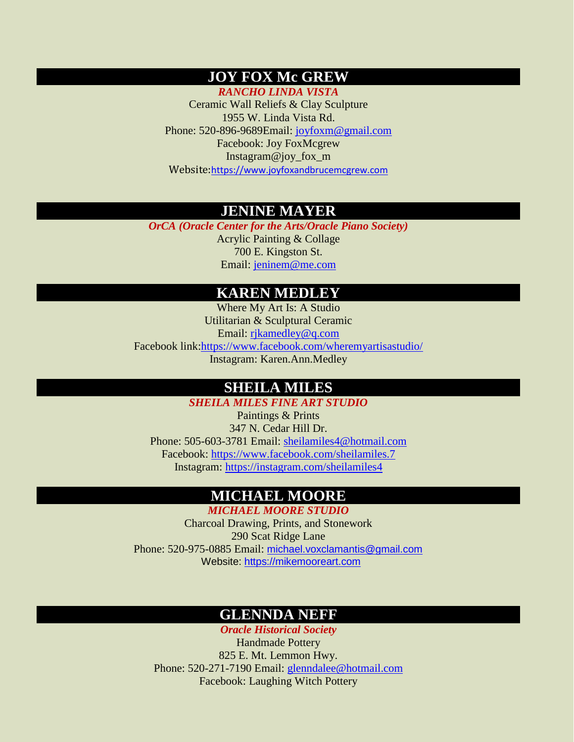## **JOY FOX Mc GREW**

*RANCHO LINDA VISTA* 

Ceramic Wall Reliefs & Clay Sculpture 1955 W. Linda Vista Rd. Phone: 520-896-9689Email: [joyfoxm@gmail.com](mailto:joyfoxm@gmail.com) Facebook: Joy FoxMcgrew Instagram@joy\_fox\_m Website:https://www.joyfoxandbrucemcgrew.com

## **JENINE MAYER**

*OrCA (Oracle Center for the Arts/Oracle Piano Society)* Acrylic Painting & Collage 700 E. Kingston St. Email: [jeninem@me.com](mailto:jeninem@me.com)

#### **KAREN MEDLEY**

Where My Art Is: A Studio Utilitarian & Sculptural Ceramic Email: [rjkamedley@q.com](mailto:rjkamedley@q.com) Facebook link[:https://www.facebook.com/wheremyartisastudio/](https://www.facebook.com/wheremyartisastudio/?modal=admin_todo_tour) Instagram: Karen.Ann.Medley

## **SHEILA MILES**

*SHEILA MILES FINE ART STUDIO*

Paintings & Prints 347 N. Cedar Hill Dr. Phone: 505-603-3781 Email: [sheilamiles4@hotmail.com](mailto:sheilamiles4@hotmail.com) Facebook:<https://www.facebook.com/sheilamiles.7> Instagram:<https://instagram.com/sheilamiles4>

## **MICHAEL MOORE**

*MICHAEL MOORE STUDIO* Charcoal Drawing, Prints, and Stonework 290 Scat Ridge Lane Phone: 520-975-0885 Email: [michael.voxclamantis@gmail.com](mailto:michael.voxclamantis@gmail.com)

Website: [https://mikemooreart.com](https://mikemooreart.com/)

#### **GLENNDA NEFF**

*Oracle Historical Society* Handmade Pottery 825 E. Mt. Lemmon Hwy. Phone: 520-271-7190 Email: [glenndalee@hotmail.com](mailto:glenndalee@hotmail.com) Facebook: Laughing Witch Pottery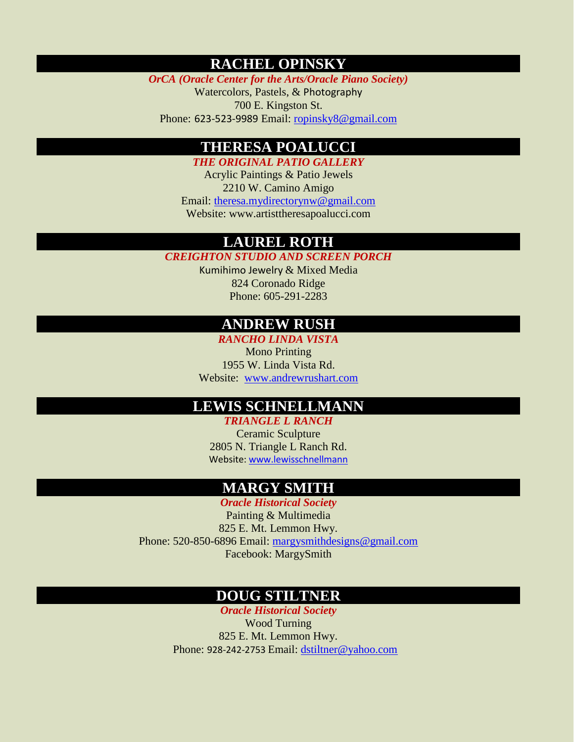### **RACHEL OPINSKY**

*OrCA (Oracle Center for the Arts/Oracle Piano Society)*

Watercolors, Pastels, & Photography 700 E. Kingston St. Phone: 623-523-9989 Email: [ropinsky8@gmail.com](mailto:ropinsky8@gmail.com)

#### **THERESA POALUCCI**

*THE ORIGINAL PATIO GALLERY*

Acrylic Paintings & Patio Jewels 2210 W. Camino Amigo Email: [theresa.mydirectorynw@gmail.com](mailto:theresa.mydirectorynw@gmail.com) Website: www.artisttheresapoalucci.com

#### **LAUREL ROTH**

*CREIGHTON STUDIO AND SCREEN PORCH*

Kumihimo Jewelry & Mixed Media 824 Coronado Ridge Phone: 605-291-2283

#### **ANDREW RUSH**

*RANCHO LINDA VISTA*  Mono Printing 1955 W. Linda Vista Rd. Website: [www.andrewrushart.com](http://www.andrewrushart.com/)

#### **LEWIS SCHNELLMANN**

*TRIANGLE L RANCH*  Ceramic Sculpture 2805 N. Triangle L Ranch Rd.

Website[: www.lewisschnellmann](http://www.lewisschnellmann/)

## **MARGY SMITH**

*Oracle Historical Society* Painting & Multimedia 825 E. Mt. Lemmon Hwy. Phone: 520-850-6896 Email: [margysmithdesigns@gmail.com](mailto:margysmithdesigns@gmail.com) Facebook: MargySmith

## **DOUG STILTNER**

*Oracle Historical Society* Wood Turning 825 E. Mt. Lemmon Hwy. Phone: 928-242-2753 Email: [dstiltner@yahoo.com](mailto:laurastiltner@gmail.com)